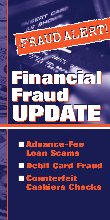

# ■ **Advance-Fee Loan Scams Debit Card Fraud** ■ **Counterfeit Cashiers Checks**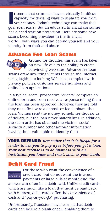If seems that criminals have a virtually limitless<br>capacity for devising ways to separate you from<br>your money. Today's technology can make that<br>goal even easier. But an educated financial consumer t seems that criminals have a virtually limitless capacity for devising ways to separate you from your money. Today's technology can make that has a head start on protection. Here are some new scams becoming prevalent in the financial world…with ways you can defend yourself and your identity from theft and abuse.

#### **Advance Fee Loan Scams**



Around for decades, this scam has taken on new life due to the ability to create convincing web sites. Advance fee loan

scams draw unwitting victims through the Internet, using legitimate looking Web sites, complete with privacy policies, customer service numbers and online loan applications.

In a typical scam, prospective "clients" complete an online form and soon receive a response telling them the loan has been approved. However, they are told they must first wire a deposit or fee to obtain the loan. Victims send the money, sometimes thousands of dollars, but the loan never materializes. In addition, the scam artist has obtained the victims' social security number and other account information, leaving them vulnerable to identity theft.

**YOUR DEFENSE:** *Remember that it is illegal for a lender to ask you to pay a fee before you get a loan. Your best defense is to do business with an institution you know and trust, such as your bank.* 

## **Debit Card Fraud**

#### 063851749 DEBIT

For those who want the convenience of a credit card, but do not want the interest payments or large bills at month-end, the

answer can often be a debit card. Unlike credit cards, which are much like a loan that must be paid back with interest, debit cards offer the convenience of cash and "pay-as-you-go" purchasing.

Unfortunately, fraudsters have learned that debit cards can be like a blank check, enabling them to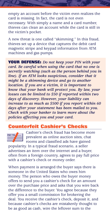empty an account before the victim even realizes the card is missing. In fact, the card is not even necessary. With simply a name and a card number, thieves can clean an account while the card is still in the victim's pocket.

A new threat is one called "skimming." In this fraud, thieves set up a device that captures the debit card magnetic stripe and keypad information from ATM machines and gas pumps.

**YOUR DEFENSE:** *Do not keep your PIN with your card. Be careful when using the card that no one is secretly watching (such as the person behind you in line). If an ATM looks suspicious, consider that it might be a skimming device and go to another location. If you are a victim, it is important to know that your bank will protect you. By law, your losses can be limited to \$50 if reported within two days of discovery. However, your liability can increase to as much as \$500 if you report within 60 days after your statement has been mailed to you. Check with your banker to learn more about the policies affecting you and your card.* 

### **Counterfeit Cashier's Checks**



**Cashier's check fraud has become more** prevalent as online auction sites, chat rooms and classified ads have gained

popularity. In a typical fraud scenario, a seller advertises an item over the internet and a buyer, often from a foreign country, agrees to pay full price with a cashier's check or money order.

When payment is arranged the buyer says there is someone in the United States who owes him money. The person who owes the buyer money offers to send you a cashier's check for an amount over the purchase price and asks that you wire back the difference to the buyer. You agree because they offer you a small commission for brokering the deal. You receive the cashier's check, deposit it, and because cashier's checks are mistakenly thought to be as good as cash, wire the leftover sum to the